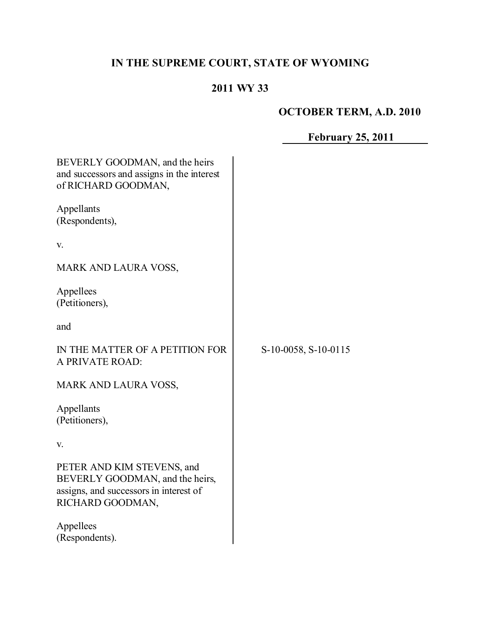# **IN THE SUPREME COURT, STATE OF WYOMING**

# **2011 WY 33**

# **OCTOBER TERM, A.D. 2010**

# **February 25, 2011**

| BEVERLY GOODMAN, and the heirs<br>and successors and assigns in the interest<br>of RICHARD GOODMAN,                         |                      |
|-----------------------------------------------------------------------------------------------------------------------------|----------------------|
| Appellants<br>(Respondents),                                                                                                |                      |
| V.                                                                                                                          |                      |
| MARK AND LAURA VOSS,                                                                                                        |                      |
| Appellees<br>(Petitioners),                                                                                                 |                      |
| and                                                                                                                         |                      |
| IN THE MATTER OF A PETITION FOR<br>A PRIVATE ROAD:                                                                          | S-10-0058, S-10-0115 |
| <b>MARK AND LAURA VOSS,</b>                                                                                                 |                      |
| Appellants<br>(Petitioners),                                                                                                |                      |
| V.                                                                                                                          |                      |
| PETER AND KIM STEVENS, and<br>BEVERLY GOODMAN, and the heirs,<br>assigns, and successors in interest of<br>RICHARD GOODMAN, |                      |
| Appellees<br>(Respondents).                                                                                                 |                      |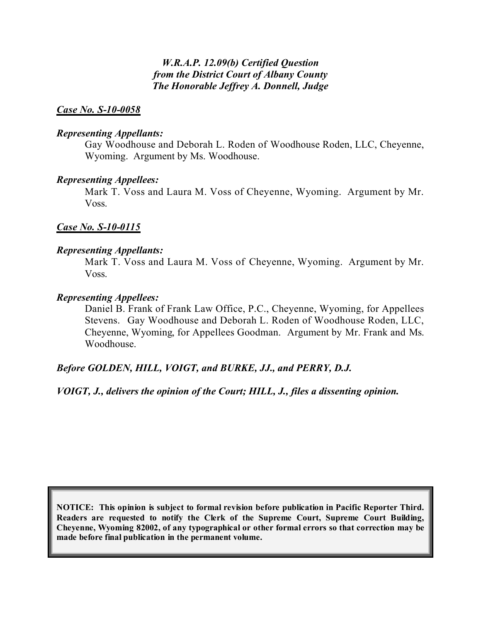*W.R.A.P. 12.09(b) Certified Question from the District Court of Albany County The Honorable Jeffrey A. Donnell, Judge*

#### *Case No. S-10-0058*

#### *Representing Appellants:*

Gay Woodhouse and Deborah L. Roden of Woodhouse Roden, LLC, Cheyenne, Wyoming. Argument by Ms. Woodhouse.

#### *Representing Appellees:*

Mark T. Voss and Laura M. Voss of Cheyenne, Wyoming. Argument by Mr. Voss.

#### *Case No. S-10-0115*

#### *Representing Appellants:*

Mark T. Voss and Laura M. Voss of Cheyenne, Wyoming. Argument by Mr. Voss.

#### *Representing Appellees:*

Daniel B. Frank of Frank Law Office, P.C., Cheyenne, Wyoming, for Appellees Stevens. Gay Woodhouse and Deborah L. Roden of Woodhouse Roden, LLC, Cheyenne, Wyoming, for Appellees Goodman. Argument by Mr. Frank and Ms. Woodhouse.

#### *Before GOLDEN, HILL, VOIGT, and BURKE, JJ., and PERRY, D.J.*

*VOIGT, J., delivers the opinion of the Court; HILL, J., files a dissenting opinion.*

**NOTICE: This opinion is subject to formal revision before publication in Pacific Reporter Third. Readers are requested to notify the Clerk of the Supreme Court, Supreme Court Building, Cheyenne, Wyoming 82002, of any typographical or other formal errors so that correction may be made before final publication in the permanent volume.**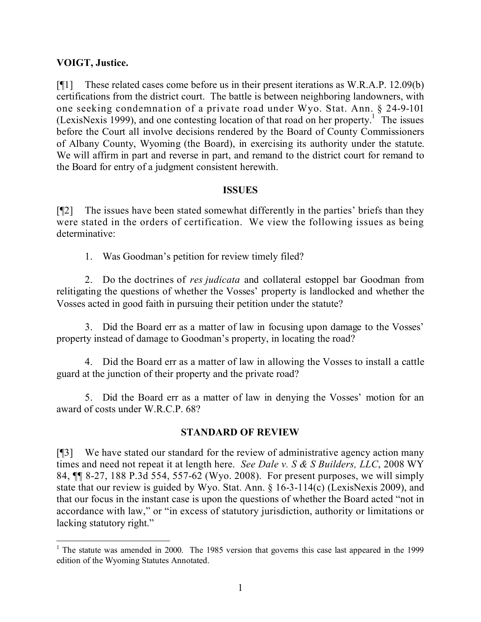## **VOIGT, Justice.**

[¶1] These related cases come before us in their present iterations as W.R.A.P. 12.09(b) certifications from the district court. The battle is between neighboring landowners, with one seeking condemnation of a private road under Wyo. Stat. Ann. § 24-9-101 (LexisNexis 1999), and one contesting location of that road on her property.<sup>1</sup> The issues before the Court all involve decisions rendered by the Board of County Commissioners of Albany County, Wyoming (the Board), in exercising its authority under the statute. We will affirm in part and reverse in part, and remand to the district court for remand to the Board for entry of a judgment consistent herewith.

#### **ISSUES**

[¶2] The issues have been stated somewhat differently in the parties' briefs than they were stated in the orders of certification. We view the following issues as being determinative:

1. Was Goodman's petition for review timely filed?

2. Do the doctrines of *res judicata* and collateral estoppel bar Goodman from relitigating the questions of whether the Vosses' property is landlocked and whether the Vosses acted in good faith in pursuing their petition under the statute?

3. Did the Board err as a matter of law in focusing upon damage to the Vosses' property instead of damage to Goodman's property, in locating the road?

4. Did the Board err as a matter of law in allowing the Vosses to install a cattle guard at the junction of their property and the private road?

5. Did the Board err as a matter of law in denying the Vosses' motion for an award of costs under W.R.C.P. 68?

## **STANDARD OF REVIEW**

[¶3] We have stated our standard for the review of administrative agency action many times and need not repeat it at length here. *See Dale v. S & S Builders, LLC*, 2008 WY 84, ¶¶ 8-27, 188 P.3d 554, 557-62 (Wyo. 2008). For present purposes, we will simply state that our review is guided by Wyo. Stat. Ann. § 16-3-114(c) (LexisNexis 2009), and that our focus in the instant case is upon the questions of whether the Board acted "not in accordance with law," or "in excess of statutory jurisdiction, authority or limitations or lacking statutory right."

  $1$  The statute was amended in 2000. The 1985 version that governs this case last appeared in the 1999 edition of the Wyoming Statutes Annotated.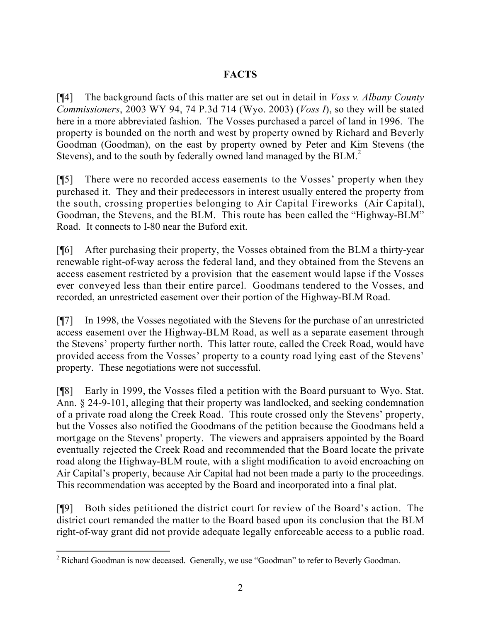# **FACTS**

[¶4] The background facts of this matter are set out in detail in *Voss v. Albany County Commissioners*, 2003 WY 94, 74 P.3d 714 (Wyo. 2003) (*Voss I*), so they will be stated here in a more abbreviated fashion. The Vosses purchased a parcel of land in 1996. The property is bounded on the north and west by property owned by Richard and Beverly Goodman (Goodman), on the east by property owned by Peter and Kim Stevens (the Stevens), and to the south by federally owned land managed by the BLM.<sup>2</sup>

[¶5] There were no recorded access easements to the Vosses' property when they purchased it. They and their predecessors in interest usually entered the property from the south, crossing properties belonging to Air Capital Fireworks (Air Capital), Goodman, the Stevens, and the BLM. This route has been called the "Highway-BLM" Road. It connects to I-80 near the Buford exit.

[¶6] After purchasing their property, the Vosses obtained from the BLM a thirty-year renewable right-of-way across the federal land, and they obtained from the Stevens an access easement restricted by a provision that the easement would lapse if the Vosses ever conveyed less than their entire parcel. Goodmans tendered to the Vosses, and recorded, an unrestricted easement over their portion of the Highway-BLM Road.

[¶7] In 1998, the Vosses negotiated with the Stevens for the purchase of an unrestricted access easement over the Highway-BLM Road, as well as a separate easement through the Stevens' property further north. This latter route, called the Creek Road, would have provided access from the Vosses' property to a county road lying east of the Stevens' property. These negotiations were not successful.

[¶8] Early in 1999, the Vosses filed a petition with the Board pursuant to Wyo. Stat. Ann. § 24-9-101, alleging that their property was landlocked, and seeking condemnation of a private road along the Creek Road. This route crossed only the Stevens' property, but the Vosses also notified the Goodmans of the petition because the Goodmans held a mortgage on the Stevens' property. The viewers and appraisers appointed by the Board eventually rejected the Creek Road and recommended that the Board locate the private road along the Highway-BLM route, with a slight modification to avoid encroaching on Air Capital's property, because Air Capital had not been made a party to the proceedings. This recommendation was accepted by the Board and incorporated into a final plat.

[¶9] Both sides petitioned the district court for review of the Board's action. The district court remanded the matter to the Board based upon its conclusion that the BLM right-of-way grant did not provide adequate legally enforceable access to a public road.

  $2$  Richard Goodman is now deceased. Generally, we use "Goodman" to refer to Beverly Goodman.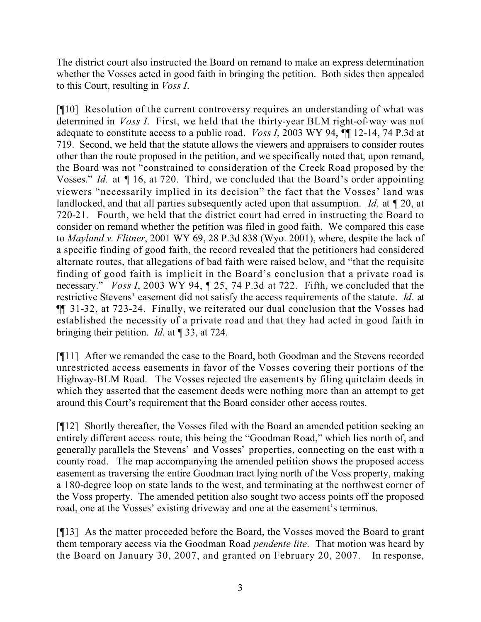The district court also instructed the Board on remand to make an express determination whether the Vosses acted in good faith in bringing the petition. Both sides then appealed to this Court, resulting in *Voss I*.

[¶10] Resolution of the current controversy requires an understanding of what was determined in *Voss I*. First, we held that the thirty-year BLM right-of-way was not adequate to constitute access to a public road. *Voss I*, 2003 WY 94, ¶¶ 12-14, 74 P.3d at 719. Second, we held that the statute allows the viewers and appraisers to consider routes other than the route proposed in the petition, and we specifically noted that, upon remand, the Board was not "constrained to consideration of the Creek Road proposed by the Vosses." *Id.* at ¶ 16, at 720. Third, we concluded that the Board's order appointing viewers "necessarily implied in its decision" the fact that the Vosses' land was landlocked, and that all parties subsequently acted upon that assumption. *Id*. at ¶ 20, at 720-21. Fourth, we held that the district court had erred in instructing the Board to consider on remand whether the petition was filed in good faith. We compared this case to *Mayland v. Flitner*, 2001 WY 69, 28 P.3d 838 (Wyo. 2001), where, despite the lack of a specific finding of good faith, the record revealed that the petitioners had considered alternate routes, that allegations of bad faith were raised below, and "that the requisite finding of good faith is implicit in the Board's conclusion that a private road is necessary." *Voss I*, 2003 WY 94, ¶ 25, 74 P.3d at 722. Fifth, we concluded that the restrictive Stevens' easement did not satisfy the access requirements of the statute. *Id*. at ¶¶ 31-32, at 723-24. Finally, we reiterated our dual conclusion that the Vosses had established the necessity of a private road and that they had acted in good faith in bringing their petition. *Id*. at ¶ 33, at 724.

[¶11] After we remanded the case to the Board, both Goodman and the Stevens recorded unrestricted access easements in favor of the Vosses covering their portions of the Highway-BLM Road. The Vosses rejected the easements by filing quitclaim deeds in which they asserted that the easement deeds were nothing more than an attempt to get around this Court's requirement that the Board consider other access routes.

[¶12] Shortly thereafter, the Vosses filed with the Board an amended petition seeking an entirely different access route, this being the "Goodman Road," which lies north of, and generally parallels the Stevens' and Vosses' properties, connecting on the east with a county road. The map accompanying the amended petition shows the proposed access easement as traversing the entire Goodman tract lying north of the Voss property, making a 180-degree loop on state lands to the west, and terminating at the northwest corner of the Voss property. The amended petition also sought two access points off the proposed road, one at the Vosses' existing driveway and one at the easement's terminus.

[¶13] As the matter proceeded before the Board, the Vosses moved the Board to grant them temporary access via the Goodman Road *pendente lite*. That motion was heard by the Board on January 30, 2007, and granted on February 20, 2007. In response,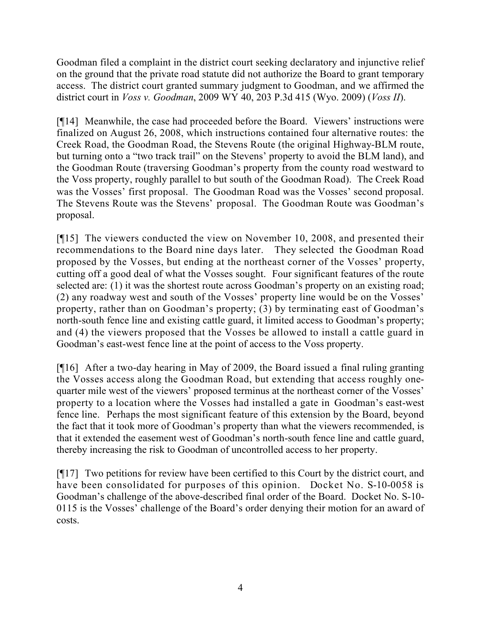Goodman filed a complaint in the district court seeking declaratory and injunctive relief on the ground that the private road statute did not authorize the Board to grant temporary access. The district court granted summary judgment to Goodman, and we affirmed the district court in *Voss v. Goodman*, 2009 WY 40, 203 P.3d 415 (Wyo. 2009) (*Voss II*).

[¶14] Meanwhile, the case had proceeded before the Board. Viewers' instructions were finalized on August 26, 2008, which instructions contained four alternative routes: the Creek Road, the Goodman Road, the Stevens Route (the original Highway-BLM route, but turning onto a "two track trail" on the Stevens' property to avoid the BLM land), and the Goodman Route (traversing Goodman's property from the county road westward to the Voss property, roughly parallel to but south of the Goodman Road). The Creek Road was the Vosses' first proposal. The Goodman Road was the Vosses' second proposal. The Stevens Route was the Stevens' proposal. The Goodman Route was Goodman's proposal.

[¶15] The viewers conducted the view on November 10, 2008, and presented their recommendations to the Board nine days later. They selected the Goodman Road proposed by the Vosses, but ending at the northeast corner of the Vosses' property, cutting off a good deal of what the Vosses sought. Four significant features of the route selected are: (1) it was the shortest route across Goodman's property on an existing road; (2) any roadway west and south of the Vosses' property line would be on the Vosses' property, rather than on Goodman's property; (3) by terminating east of Goodman's north-south fence line and existing cattle guard, it limited access to Goodman's property; and (4) the viewers proposed that the Vosses be allowed to install a cattle guard in Goodman's east-west fence line at the point of access to the Voss property.

[¶16] After a two-day hearing in May of 2009, the Board issued a final ruling granting the Vosses access along the Goodman Road, but extending that access roughly onequarter mile west of the viewers' proposed terminus at the northeast corner of the Vosses' property to a location where the Vosses had installed a gate in Goodman's east-west fence line. Perhaps the most significant feature of this extension by the Board, beyond the fact that it took more of Goodman's property than what the viewers recommended, is that it extended the easement west of Goodman's north-south fence line and cattle guard, thereby increasing the risk to Goodman of uncontrolled access to her property.

[¶17] Two petitions for review have been certified to this Court by the district court, and have been consolidated for purposes of this opinion. Docket No. S-10-0058 is Goodman's challenge of the above-described final order of the Board. Docket No. S-10- 0115 is the Vosses' challenge of the Board's order denying their motion for an award of costs.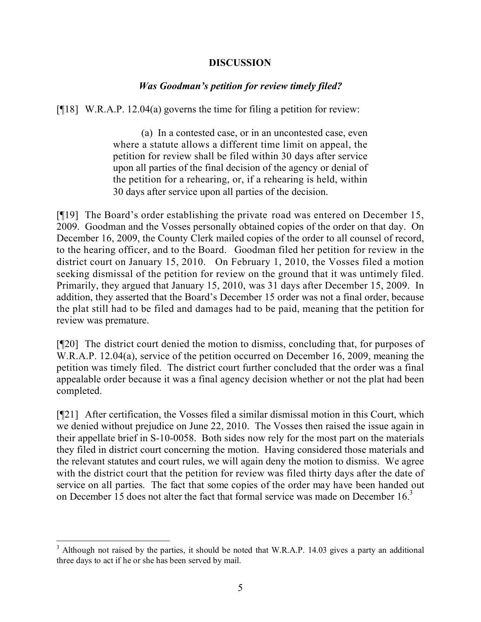#### **DISCUSSION**

## *Was Goodman's petition for review timely filed?*

[ $[$ [18] W.R.A.P. 12.04(a) governs the time for filing a petition for review:

(a) In a contested case, or in an uncontested case, even where a statute allows a different time limit on appeal, the petition for review shall be filed within 30 days after service upon all parties of the final decision of the agency or denial of the petition for a rehearing, or, if a rehearing is held, within 30 days after service upon all parties of the decision.

[¶19] The Board's order establishing the private road was entered on December 15, 2009. Goodman and the Vosses personally obtained copies of the order on that day. On December 16, 2009, the County Clerk mailed copies of the order to all counsel of record, to the hearing officer, and to the Board. Goodman filed her petition for review in the district court on January 15, 2010. On February 1, 2010, the Vosses filed a motion seeking dismissal of the petition for review on the ground that it was untimely filed. Primarily, they argued that January 15, 2010, was 31 days after December 15, 2009. In addition, they asserted that the Board's December 15 order was not a final order, because the plat still had to be filed and damages had to be paid, meaning that the petition for review was premature.

[¶20] The district court denied the motion to dismiss, concluding that, for purposes of W.R.A.P. 12.04(a), service of the petition occurred on December 16, 2009, meaning the petition was timely filed. The district court further concluded that the order was a final appealable order because it was a final agency decision whether or not the plat had been completed.

[¶21] After certification, the Vosses filed a similar dismissal motion in this Court, which we denied without prejudice on June 22, 2010. The Vosses then raised the issue again in their appellate brief in S-10-0058. Both sides now rely for the most part on the materials they filed in district court concerning the motion. Having considered those materials and the relevant statutes and court rules, we will again deny the motion to dismiss. We agree with the district court that the petition for review was filed thirty days after the date of service on all parties. The fact that some copies of the order may have been handed out on December 15 does not alter the fact that formal service was made on December 16.<sup>3</sup>

  $3$  Although not raised by the parties, it should be noted that W.R.A.P. 14.03 gives a party an additional three days to act if he or she has been served by mail.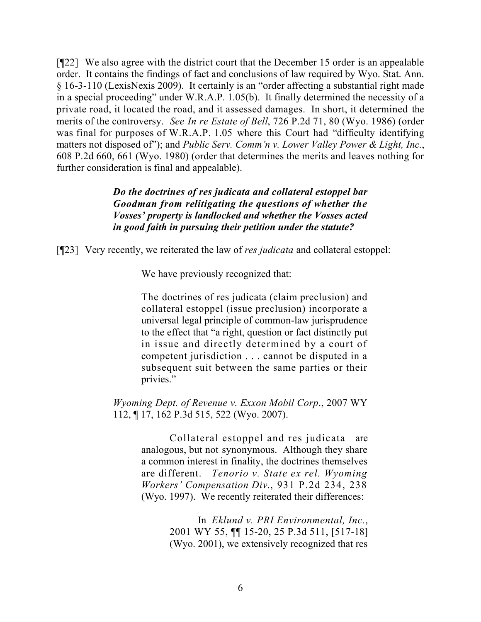[¶22] We also agree with the district court that the December 15 order is an appealable order. It contains the findings of fact and conclusions of law required by Wyo. Stat. Ann. § 16-3-110 (LexisNexis 2009). It certainly is an "order affecting a substantial right made in a special proceeding" under W.R.A.P. 1.05(b). It finally determined the necessity of a private road, it located the road, and it assessed damages. In short, it determined the merits of the controversy. *See In re Estate of Bell*, 726 P.2d 71, 80 (Wyo. 1986) (order was final for purposes of W.R.A.P. 1.05 where this Court had "difficulty identifying matters not disposed of"); and *Public Serv. Comm'n v. Lower Valley Power & Light, Inc.*, 608 P.2d 660, 661 (Wyo. 1980) (order that determines the merits and leaves nothing for further consideration is final and appealable).

## *Do the doctrines of res judicata and collateral estoppel bar Goodman from relitigating the questions of whether the Vosses' property is landlocked and whether the Vosses acted in good faith in pursuing their petition under the statute?*

[¶23] Very recently, we reiterated the law of *res judicata* and collateral estoppel:

We have previously recognized that:

The doctrines of res judicata (claim preclusion) and collateral estoppel (issue preclusion) incorporate a universal legal principle of common-law jurisprudence to the effect that "a right, question or fact distinctly put in issue and directly determined by a court of competent jurisdiction . . . cannot be disputed in a subsequent suit between the same parties or their privies."

*Wyoming Dept. of Revenue v. Exxon Mobil Corp*., 2007 WY 112, ¶ 17, 162 P.3d 515, 522 (Wyo. 2007).

> Collateral estoppel and res judicata are analogous, but not synonymous. Although they share a common interest in finality, the doctrines themselves are different. *Tenorio v. State ex rel. Wyoming Workers' Compensation Div.*, 931 P.2d 234, 238 (Wyo. 1997). We recently reiterated their differences:

> > In *Eklund v. PRI Environmental, Inc.*, 2001 WY 55, ¶¶ 15-20, 25 P.3d 511, [517-18] (Wyo. 2001), we extensively recognized that res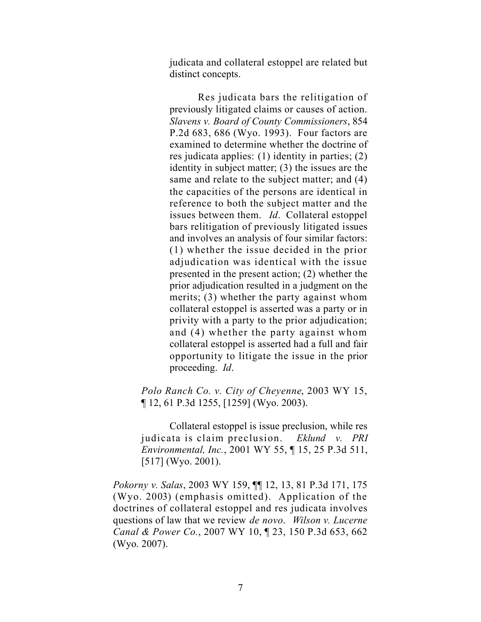judicata and collateral estoppel are related but distinct concepts.

Res judicata bars the relitigation of previously litigated claims or causes of action. *Slavens v. Board of County Commissioners*, 854 P.2d 683, 686 (Wyo. 1993). Four factors are examined to determine whether the doctrine of res judicata applies: (1) identity in parties; (2) identity in subject matter; (3) the issues are the same and relate to the subject matter; and (4) the capacities of the persons are identical in reference to both the subject matter and the issues between them. *Id*. Collateral estoppel bars relitigation of previously litigated issues and involves an analysis of four similar factors: (1) whether the issue decided in the prior adjudication was identical with the issue presented in the present action; (2) whether the prior adjudication resulted in a judgment on the merits; (3) whether the party against whom collateral estoppel is asserted was a party or in privity with a party to the prior adjudication; and (4) whether the party against whom collateral estoppel is asserted had a full and fair opportunity to litigate the issue in the prior proceeding. *Id*.

*Polo Ranch Co. v. City of Cheyenne*, 2003 WY 15, ¶ 12, 61 P.3d 1255, [1259] (Wyo. 2003).

Collateral estoppel is issue preclusion, while res judicata is claim preclusion. *Eklund v. PRI Environmental, Inc.*, 2001 WY 55, ¶ 15, 25 P.3d 511, [517] (Wyo. 2001).

*Pokorny v. Salas*, 2003 WY 159, ¶¶ 12, 13, 81 P.3d 171, 175 (Wyo. 2003) (emphasis omitted). Application of the doctrines of collateral estoppel and res judicata involves questions of law that we review *de novo*. *Wilson v. Lucerne Canal & Power Co.*, 2007 WY 10, ¶ 23, 150 P.3d 653, 662 (Wyo. 2007).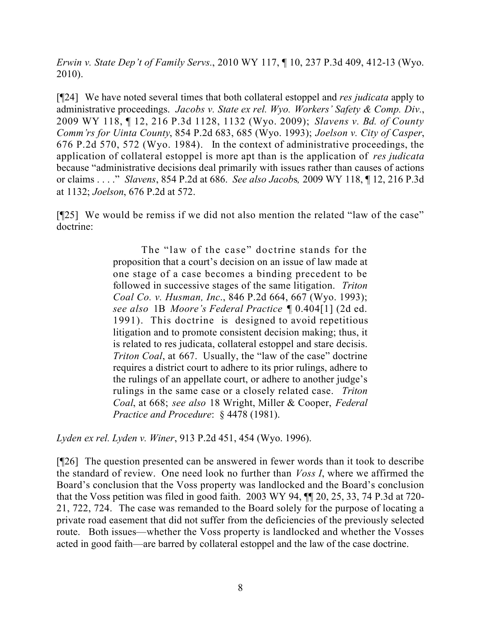*Erwin v. State Dep't of Family Servs.*, 2010 WY 117, ¶ 10, 237 P.3d 409, 412-13 (Wyo. 2010).

[¶24] We have noted several times that both collateral estoppel and *res judicata* apply to administrative proceedings. *Jacobs v. State ex rel. Wyo. Workers' Safety & Comp. Div.*, 2009 WY 118, ¶ 12, 216 P.3d 1128, 1132 (Wyo. 2009); *Slavens v. Bd. of County Comm'rs for Uinta County*, 854 P.2d 683, 685 (Wyo. 1993); *Joelson v. City of Casper*, 676 P.2d 570, 572 (Wyo. 1984). In the context of administrative proceedings, the application of collateral estoppel is more apt than is the application of *res judicata* because "administrative decisions deal primarily with issues rather than causes of actions or claims . . . ." *Slavens*, 854 P.2d at 686. *See also Jacob*s*,* 2009 WY 118, ¶ 12, 216 P.3d at 1132; *Joelson*, 676 P.2d at 572.

[¶25] We would be remiss if we did not also mention the related "law of the case" doctrine:

> The "law of the case" doctrine stands for the proposition that a court's decision on an issue of law made at one stage of a case becomes a binding precedent to be followed in successive stages of the same litigation. *Triton Coal Co. v. Husman, Inc*., 846 P.2d 664, 667 (Wyo. 1993); *see also* 1B *Moore's Federal Practice* ¶ 0.404[1] (2d ed. 1991). This doctrine is designed to avoid repetitious litigation and to promote consistent decision making; thus, it is related to res judicata, collateral estoppel and stare decisis. *Triton Coal*, at 667. Usually, the "law of the case" doctrine requires a district court to adhere to its prior rulings, adhere to the rulings of an appellate court, or adhere to another judge's rulings in the same case or a closely related case. *Triton Coal*, at 668; *see also* 18 Wright, Miller & Cooper, *Federal Practice and Procedure*: § 4478 (1981).

*Lyden ex rel. Lyden v. Winer*, 913 P.2d 451, 454 (Wyo. 1996).

[¶26] The question presented can be answered in fewer words than it took to describe the standard of review. One need look no further than *Voss I*, where we affirmed the Board's conclusion that the Voss property was landlocked and the Board's conclusion that the Voss petition was filed in good faith. 2003 WY 94, ¶¶ 20, 25, 33, 74 P.3d at 720- 21, 722, 724. The case was remanded to the Board solely for the purpose of locating a private road easement that did not suffer from the deficiencies of the previously selected route. Both issues—whether the Voss property is landlocked and whether the Vosses acted in good faith—are barred by collateral estoppel and the law of the case doctrine.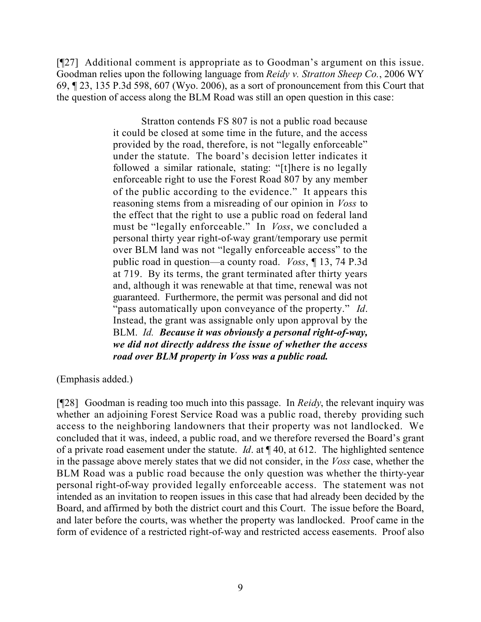[¶27] Additional comment is appropriate as to Goodman's argument on this issue. Goodman relies upon the following language from *Reidy v. Stratton Sheep Co.*, 2006 WY 69, ¶ 23, 135 P.3d 598, 607 (Wyo. 2006), as a sort of pronouncement from this Court that the question of access along the BLM Road was still an open question in this case:

> Stratton contends FS 807 is not a public road because it could be closed at some time in the future, and the access provided by the road, therefore, is not "legally enforceable" under the statute. The board's decision letter indicates it followed a similar rationale, stating: "[t]here is no legally enforceable right to use the Forest Road 807 by any member of the public according to the evidence." It appears this reasoning stems from a misreading of our opinion in *Voss* to the effect that the right to use a public road on federal land must be "legally enforceable." In *Voss*, we concluded a personal thirty year right-of-way grant/temporary use permit over BLM land was not "legally enforceable access" to the public road in question—a county road. *Voss*, ¶ 13, 74 P.3d at 719. By its terms, the grant terminated after thirty years and, although it was renewable at that time, renewal was not guaranteed. Furthermore, the permit was personal and did not "pass automatically upon conveyance of the property." *Id*. Instead, the grant was assignable only upon approval by the BLM. *Id. Because it was obviously a personal right-of-way, we did not directly address the issue of whether the access road over BLM property in Voss was a public road.*

(Emphasis added.)

[¶28] Goodman is reading too much into this passage. In *Reidy*, the relevant inquiry was whether an adjoining Forest Service Road was a public road, thereby providing such access to the neighboring landowners that their property was not landlocked. We concluded that it was, indeed, a public road, and we therefore reversed the Board's grant of a private road easement under the statute. *Id*. at ¶ 40, at 612. The highlighted sentence in the passage above merely states that we did not consider, in the *Voss* case, whether the BLM Road was a public road because the only question was whether the thirty-year personal right-of-way provided legally enforceable access. The statement was not intended as an invitation to reopen issues in this case that had already been decided by the Board, and affirmed by both the district court and this Court. The issue before the Board, and later before the courts, was whether the property was landlocked. Proof came in the form of evidence of a restricted right-of-way and restricted access easements. Proof also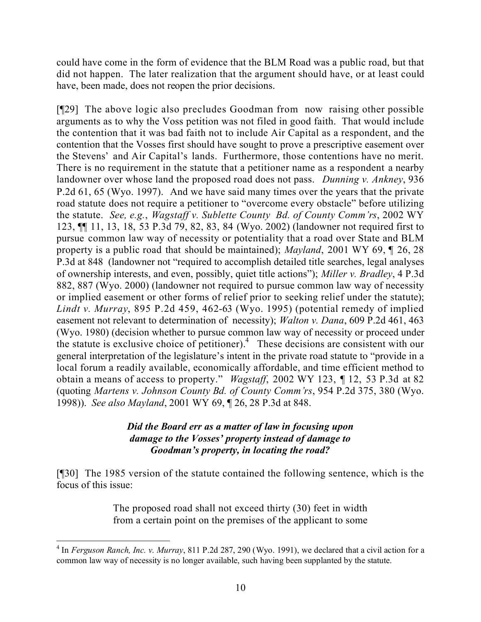could have come in the form of evidence that the BLM Road was a public road, but that did not happen. The later realization that the argument should have, or at least could have, been made, does not reopen the prior decisions.

[¶29] The above logic also precludes Goodman from now raising other possible arguments as to why the Voss petition was not filed in good faith. That would include the contention that it was bad faith not to include Air Capital as a respondent, and the contention that the Vosses first should have sought to prove a prescriptive easement over the Stevens' and Air Capital's lands. Furthermore, those contentions have no merit. There is no requirement in the statute that a petitioner name as a respondent a nearby landowner over whose land the proposed road does not pass. *Dunning v. Ankney*, 936 P.2d 61, 65 (Wyo. 1997). And we have said many times over the years that the private road statute does not require a petitioner to "overcome every obstacle" before utilizing the statute. *See, e.g.*, *Wagstaff v. Sublette County Bd. of County Comm'rs*, 2002 WY 123, ¶¶ 11, 13, 18, 53 P.3d 79, 82, 83, 84 (Wyo. 2002) (landowner not required first to pursue common law way of necessity or potentiality that a road over State and BLM property is a public road that should be maintained); *Mayland*, 2001 WY 69, ¶ 26, 28 P.3d at 848 (landowner not "required to accomplish detailed title searches, legal analyses of ownership interests, and even, possibly, quiet title actions"); *Miller v. Bradley*, 4 P.3d 882, 887 (Wyo. 2000) (landowner not required to pursue common law way of necessity or implied easement or other forms of relief prior to seeking relief under the statute); *Lindt v. Murray*, 895 P.2d 459, 462-63 (Wyo. 1995) (potential remedy of implied easement not relevant to determination of necessity); *Walton v. Dana*, 609 P.2d 461, 463 (Wyo. 1980) (decision whether to pursue common law way of necessity or proceed under the statute is exclusive choice of petitioner).<sup>4</sup> These decisions are consistent with our general interpretation of the legislature's intent in the private road statute to "provide in a local forum a readily available, economically affordable, and time efficient method to obtain a means of access to property." *Wagstaff*, 2002 WY 123, ¶ 12, 53 P.3d at 82 (quoting *Martens v. Johnson County Bd. of County Comm'rs*, 954 P.2d 375, 380 (Wyo. 1998)). *See also Mayland*, 2001 WY 69, ¶ 26, 28 P.3d at 848.

## *Did the Board err as a matter of law in focusing upon damage to the Vosses' property instead of damage to Goodman's property, in locating the road?*

[¶30] The 1985 version of the statute contained the following sentence, which is the focus of this issue:

> The proposed road shall not exceed thirty (30) feet in width from a certain point on the premises of the applicant to some

 4 In *Ferguson Ranch, Inc. v. Murray*, 811 P.2d 287, 290 (Wyo. 1991), we declared that a civil action for a common law way of necessity is no longer available, such having been supplanted by the statute.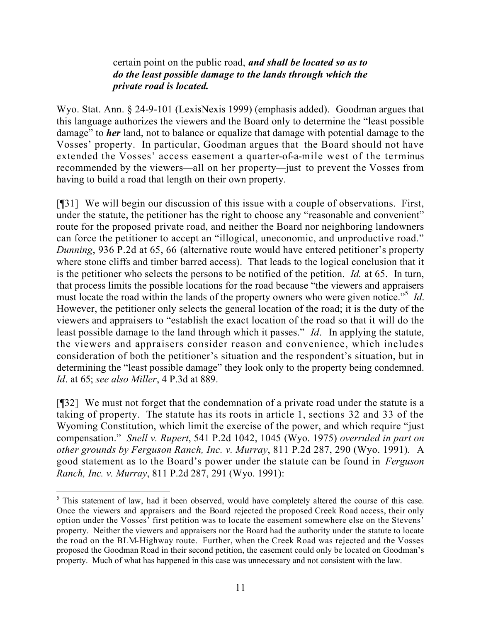## certain point on the public road, *and shall be located so as to do the least possible damage to the lands through which the private road is located.*

Wyo. Stat. Ann. § 24-9-101 (LexisNexis 1999) (emphasis added). Goodman argues that this language authorizes the viewers and the Board only to determine the "least possible damage" to *her* land, not to balance or equalize that damage with potential damage to the Vosses' property. In particular, Goodman argues that the Board should not have extended the Vosses' access easement a quarter-of-a-mile west of the terminus recommended by the viewers—all on her property—just to prevent the Vosses from having to build a road that length on their own property.

[¶31] We will begin our discussion of this issue with a couple of observations. First, under the statute, the petitioner has the right to choose any "reasonable and convenient" route for the proposed private road, and neither the Board nor neighboring landowners can force the petitioner to accept an "illogical, uneconomic, and unproductive road." *Dunning*, 936 P.2d at 65, 66 (alternative route would have entered petitioner's property where stone cliffs and timber barred access). That leads to the logical conclusion that it is the petitioner who selects the persons to be notified of the petition. *Id.* at 65. In turn, that process limits the possible locations for the road because "the viewers and appraisers must locate the road within the lands of the property owners who were given notice."<sup>5</sup> *Id*. However, the petitioner only selects the general location of the road; it is the duty of the viewers and appraisers to "establish the exact location of the road so that it will do the least possible damage to the land through which it passes." *Id*. In applying the statute, the viewers and appraisers consider reason and convenience, which includes consideration of both the petitioner's situation and the respondent's situation, but in determining the "least possible damage" they look only to the property being condemned. *Id*. at 65; *see also Miller*, 4 P.3d at 889.

[¶32] We must not forget that the condemnation of a private road under the statute is a taking of property. The statute has its roots in article 1, sections 32 and 33 of the Wyoming Constitution, which limit the exercise of the power, and which require "just compensation." *Snell v. Rupert*, 541 P.2d 1042, 1045 (Wyo. 1975) *overruled in part on other grounds by Ferguson Ranch, Inc. v. Murray*, 811 P.2d 287, 290 (Wyo. 1991). A good statement as to the Board's power under the statute can be found in *Ferguson Ranch, Inc. v. Murray*, 811 P.2d 287, 291 (Wyo. 1991):

<sup>&</sup>lt;sup>5</sup> This statement of law, had it been observed, would have completely altered the course of this case. Once the viewers and appraisers and the Board rejected the proposed Creek Road access, their only option under the Vosses' first petition was to locate the easement somewhere else on the Stevens' property. Neither the viewers and appraisers nor the Board had the authority under the statute to locate the road on the BLM-Highway route. Further, when the Creek Road was rejected and the Vosses proposed the Goodman Road in their second petition, the easement could only be located on Goodman's property. Much of what has happened in this case was unnecessary and not consistent with the law.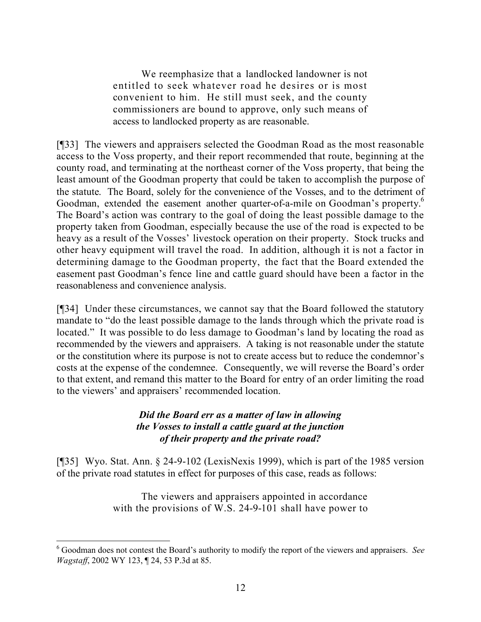We reemphasize that a landlocked landowner is not entitled to seek whatever road he desires or is most convenient to him. He still must seek, and the county commissioners are bound to approve, only such means of access to landlocked property as are reasonable.

[¶33] The viewers and appraisers selected the Goodman Road as the most reasonable access to the Voss property, and their report recommended that route, beginning at the county road, and terminating at the northeast corner of the Voss property, that being the least amount of the Goodman property that could be taken to accomplish the purpose of the statute. The Board, solely for the convenience of the Vosses, and to the detriment of Goodman, extended the easement another quarter-of-a-mile on Goodman's property.<sup>6</sup> The Board's action was contrary to the goal of doing the least possible damage to the property taken from Goodman, especially because the use of the road is expected to be heavy as a result of the Vosses' livestock operation on their property. Stock trucks and other heavy equipment will travel the road. In addition, although it is not a factor in determining damage to the Goodman property, the fact that the Board extended the easement past Goodman's fence line and cattle guard should have been a factor in the reasonableness and convenience analysis.

[¶34] Under these circumstances, we cannot say that the Board followed the statutory mandate to "do the least possible damage to the lands through which the private road is located." It was possible to do less damage to Goodman's land by locating the road as recommended by the viewers and appraisers. A taking is not reasonable under the statute or the constitution where its purpose is not to create access but to reduce the condemnor's costs at the expense of the condemnee. Consequently, we will reverse the Board's order to that extent, and remand this matter to the Board for entry of an order limiting the road to the viewers' and appraisers' recommended location.

## *Did the Board err as a matter of law in allowing the Vosses to install a cattle guard at the junction of their property and the private road?*

[¶35] Wyo. Stat. Ann. § 24-9-102 (LexisNexis 1999), which is part of the 1985 version of the private road statutes in effect for purposes of this case, reads as follows:

> The viewers and appraisers appointed in accordance with the provisions of W.S. 24-9-101 shall have power to

<sup>6</sup> Goodman does not contest the Board's authority to modify the report of the viewers and appraisers. *See Wagstaff*, 2002 WY 123, ¶ 24, 53 P.3d at 85.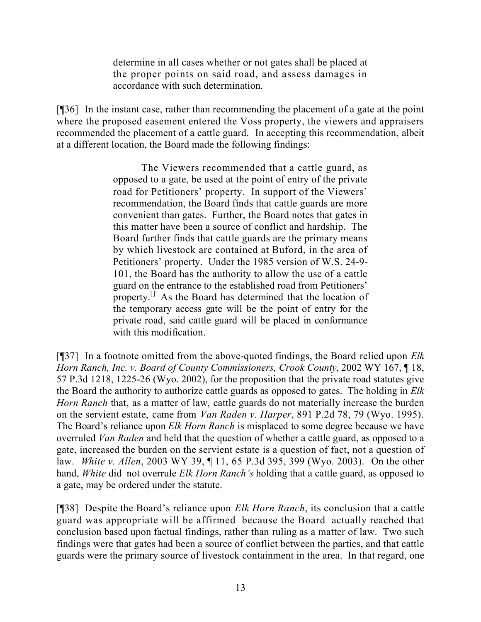determine in all cases whether or not gates shall be placed at the proper points on said road, and assess damages in accordance with such determination.

[¶36] In the instant case, rather than recommending the placement of a gate at the point where the proposed easement entered the Voss property, the viewers and appraisers recommended the placement of a cattle guard. In accepting this recommendation, albeit at a different location, the Board made the following findings:

> The Viewers recommended that a cattle guard, as opposed to a gate, be used at the point of entry of the private road for Petitioners' property. In support of the Viewers' recommendation, the Board finds that cattle guards are more convenient than gates. Further, the Board notes that gates in this matter have been a source of conflict and hardship. The Board further finds that cattle guards are the primary means by which livestock are contained at Buford, in the area of Petitioners' property. Under the 1985 version of W.S. 24-9- 101, the Board has the authority to allow the use of a cattle guard on the entrance to the established road from Petitioners' property.[] As the Board has determined that the location of the temporary access gate will be the point of entry for the private road, said cattle guard will be placed in conformance with this modification.

[¶37] In a footnote omitted from the above-quoted findings, the Board relied upon *Elk Horn Ranch, Inc. v. Board of County Commissioners, Crook County*, 2002 WY 167, ¶ 18, 57 P.3d 1218, 1225-26 (Wyo. 2002), for the proposition that the private road statutes give the Board the authority to authorize cattle guards as opposed to gates. The holding in *Elk Horn Ranch* that, as a matter of law, cattle guards do not materially increase the burden on the servient estate, came from *Van Raden v. Harper*, 891 P.2d 78, 79 (Wyo. 1995). The Board's reliance upon *Elk Horn Ranch* is misplaced to some degree because we have overruled *Van Raden* and held that the question of whether a cattle guard, as opposed to a gate, increased the burden on the servient estate is a question of fact, not a question of law. *White v. Allen*, 2003 WY 39, ¶ 11, 65 P.3d 395, 399 (Wyo. 2003). On the other hand, *White* did not overrule *Elk Horn Ranch's* holding that a cattle guard, as opposed to a gate, may be ordered under the statute.

[¶38] Despite the Board's reliance upon *Elk Horn Ranch*, its conclusion that a cattle guard was appropriate will be affirmed because the Board actually reached that conclusion based upon factual findings, rather than ruling as a matter of law. Two such findings were that gates had been a source of conflict between the parties, and that cattle guards were the primary source of livestock containment in the area. In that regard, one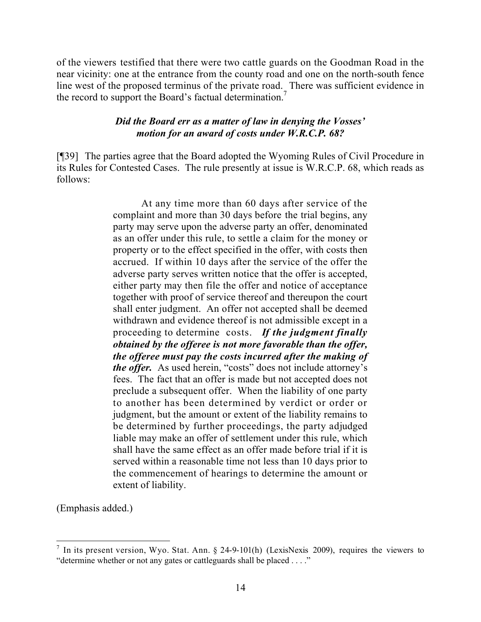of the viewers testified that there were two cattle guards on the Goodman Road in the near vicinity: one at the entrance from the county road and one on the north-south fence line west of the proposed terminus of the private road. There was sufficient evidence in the record to support the Board's factual determination.<sup>7</sup>

## *Did the Board err as a matter of law in denying the Vosses' motion for an award of costs under W.R.C.P. 68?*

[¶39] The parties agree that the Board adopted the Wyoming Rules of Civil Procedure in its Rules for Contested Cases. The rule presently at issue is W.R.C.P. 68, which reads as follows:

> At any time more than 60 days after service of the complaint and more than 30 days before the trial begins, any party may serve upon the adverse party an offer, denominated as an offer under this rule, to settle a claim for the money or property or to the effect specified in the offer, with costs then accrued. If within 10 days after the service of the offer the adverse party serves written notice that the offer is accepted, either party may then file the offer and notice of acceptance together with proof of service thereof and thereupon the court shall enter judgment. An offer not accepted shall be deemed withdrawn and evidence thereof is not admissible except in a proceeding to determine costs. *If the judgment finally obtained by the offeree is not more favorable than the offer, the offeree must pay the costs incurred after the making of the offer.* As used herein, "costs" does not include attorney's fees. The fact that an offer is made but not accepted does not preclude a subsequent offer. When the liability of one party to another has been determined by verdict or order or judgment, but the amount or extent of the liability remains to be determined by further proceedings, the party adjudged liable may make an offer of settlement under this rule, which shall have the same effect as an offer made before trial if it is served within a reasonable time not less than 10 days prior to the commencement of hearings to determine the amount or extent of liability.

(Emphasis added.)

<sup>&</sup>lt;sup>7</sup> In its present version, Wyo. Stat. Ann. § 24-9-101(h) (LexisNexis 2009), requires the viewers to "determine whether or not any gates or cattleguards shall be placed . . . ."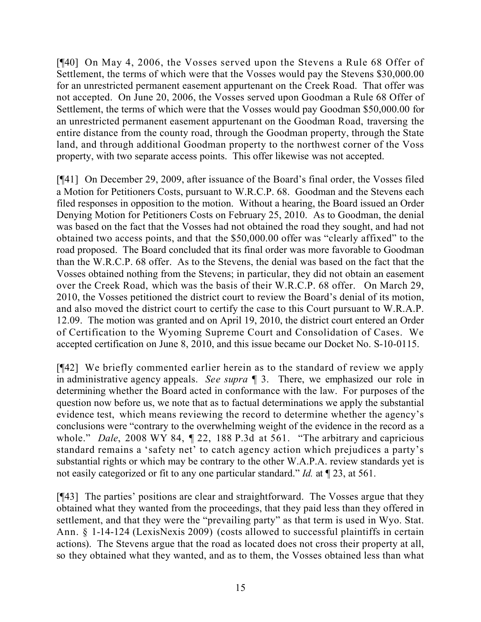[¶40] On May 4, 2006, the Vosses served upon the Stevens a Rule 68 Offer of Settlement, the terms of which were that the Vosses would pay the Stevens \$30,000.00 for an unrestricted permanent easement appurtenant on the Creek Road. That offer was not accepted. On June 20, 2006, the Vosses served upon Goodman a Rule 68 Offer of Settlement, the terms of which were that the Vosses would pay Goodman \$50,000.00 for an unrestricted permanent easement appurtenant on the Goodman Road, traversing the entire distance from the county road, through the Goodman property, through the State land, and through additional Goodman property to the northwest corner of the Voss property, with two separate access points. This offer likewise was not accepted.

[¶41] On December 29, 2009, after issuance of the Board's final order, the Vosses filed a Motion for Petitioners Costs, pursuant to W.R.C.P. 68. Goodman and the Stevens each filed responses in opposition to the motion. Without a hearing, the Board issued an Order Denying Motion for Petitioners Costs on February 25, 2010. As to Goodman, the denial was based on the fact that the Vosses had not obtained the road they sought, and had not obtained two access points, and that the \$50,000.00 offer was "clearly affixed" to the road proposed. The Board concluded that its final order was more favorable to Goodman than the W.R.C.P. 68 offer. As to the Stevens, the denial was based on the fact that the Vosses obtained nothing from the Stevens; in particular, they did not obtain an easement over the Creek Road, which was the basis of their W.R.C.P. 68 offer. On March 29, 2010, the Vosses petitioned the district court to review the Board's denial of its motion, and also moved the district court to certify the case to this Court pursuant to W.R.A.P. 12.09. The motion was granted and on April 19, 2010, the district court entered an Order of Certification to the Wyoming Supreme Court and Consolidation of Cases. We accepted certification on June 8, 2010, and this issue became our Docket No. S-10-0115.

[¶42] We briefly commented earlier herein as to the standard of review we apply in administrative agency appeals. *See supra* ¶ 3. There, we emphasized our role in determining whether the Board acted in conformance with the law. For purposes of the question now before us, we note that as to factual determinations we apply the substantial evidence test, which means reviewing the record to determine whether the agency's conclusions were "contrary to the overwhelming weight of the evidence in the record as a whole." *Dale*, 2008 WY 84, ¶ 22, 188 P.3d at 561. "The arbitrary and capricious standard remains a 'safety net' to catch agency action which prejudices a party's substantial rights or which may be contrary to the other W.A.P.A. review standards yet is not easily categorized or fit to any one particular standard." *Id.* at ¶ 23, at 561.

[¶43] The parties' positions are clear and straightforward. The Vosses argue that they obtained what they wanted from the proceedings, that they paid less than they offered in settlement, and that they were the "prevailing party" as that term is used in Wyo. Stat. Ann. § 1-14-124 (LexisNexis 2009) (costs allowed to successful plaintiffs in certain actions). The Stevens argue that the road as located does not cross their property at all, so they obtained what they wanted, and as to them, the Vosses obtained less than what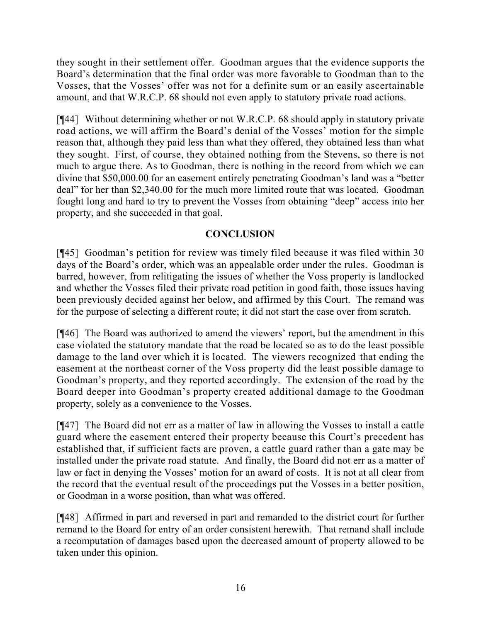they sought in their settlement offer. Goodman argues that the evidence supports the Board's determination that the final order was more favorable to Goodman than to the Vosses, that the Vosses' offer was not for a definite sum or an easily ascertainable amount, and that W.R.C.P. 68 should not even apply to statutory private road actions.

[¶44] Without determining whether or not W.R.C.P. 68 should apply in statutory private road actions, we will affirm the Board's denial of the Vosses' motion for the simple reason that, although they paid less than what they offered, they obtained less than what they sought. First, of course, they obtained nothing from the Stevens, so there is not much to argue there. As to Goodman, there is nothing in the record from which we can divine that \$50,000.00 for an easement entirely penetrating Goodman's land was a "better deal" for her than \$2,340.00 for the much more limited route that was located. Goodman fought long and hard to try to prevent the Vosses from obtaining "deep" access into her property, and she succeeded in that goal.

## **CONCLUSION**

[¶45] Goodman's petition for review was timely filed because it was filed within 30 days of the Board's order, which was an appealable order under the rules. Goodman is barred, however, from relitigating the issues of whether the Voss property is landlocked and whether the Vosses filed their private road petition in good faith, those issues having been previously decided against her below, and affirmed by this Court. The remand was for the purpose of selecting a different route; it did not start the case over from scratch.

[¶46] The Board was authorized to amend the viewers' report, but the amendment in this case violated the statutory mandate that the road be located so as to do the least possible damage to the land over which it is located. The viewers recognized that ending the easement at the northeast corner of the Voss property did the least possible damage to Goodman's property, and they reported accordingly. The extension of the road by the Board deeper into Goodman's property created additional damage to the Goodman property, solely as a convenience to the Vosses.

[¶47] The Board did not err as a matter of law in allowing the Vosses to install a cattle guard where the easement entered their property because this Court's precedent has established that, if sufficient facts are proven, a cattle guard rather than a gate may be installed under the private road statute. And finally, the Board did not err as a matter of law or fact in denying the Vosses' motion for an award of costs. It is not at all clear from the record that the eventual result of the proceedings put the Vosses in a better position, or Goodman in a worse position, than what was offered.

[¶48] Affirmed in part and reversed in part and remanded to the district court for further remand to the Board for entry of an order consistent herewith. That remand shall include a recomputation of damages based upon the decreased amount of property allowed to be taken under this opinion.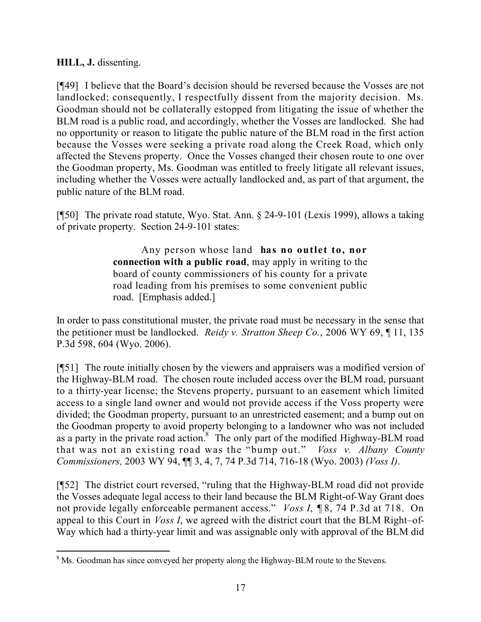## **HILL, J.** dissenting.

[¶49] I believe that the Board's decision should be reversed because the Vosses are not landlocked; consequently, I respectfully dissent from the majority decision. Ms. Goodman should not be collaterally estopped from litigating the issue of whether the BLM road is a public road, and accordingly, whether the Vosses are landlocked. She had no opportunity or reason to litigate the public nature of the BLM road in the first action because the Vosses were seeking a private road along the Creek Road, which only affected the Stevens property. Once the Vosses changed their chosen route to one over the Goodman property, Ms. Goodman was entitled to freely litigate all relevant issues, including whether the Vosses were actually landlocked and, as part of that argument, the public nature of the BLM road.

[¶50] The private road statute, Wyo. Stat. Ann. § 24-9-101 (Lexis 1999), allows a taking of private property. Section 24-9-101 states:

> Any person whose land **has no outlet to, nor connection with a public road**, may apply in writing to the board of county commissioners of his county for a private road leading from his premises to some convenient public road. [Emphasis added.]

In order to pass constitutional muster, the private road must be necessary in the sense that the petitioner must be landlocked. *Reidy v. Stratton Sheep Co.*, 2006 WY 69, ¶ 11, 135 P.3d 598, 604 (Wyo. 2006).

[¶51] The route initially chosen by the viewers and appraisers was a modified version of the Highway-BLM road. The chosen route included access over the BLM road, pursuant to a thirty-year license; the Stevens property, pursuant to an easement which limited access to a single land owner and would not provide access if the Voss property were divided; the Goodman property, pursuant to an unrestricted easement; and a bump out on the Goodman property to avoid property belonging to a landowner who was not included as a party in the private road action.<sup>8</sup> The only part of the modified Highway-BLM road that was not an existing road was the "bump out." *Voss v. Albany County Commissioners,* 2003 WY 94, ¶¶ 3, 4, 7, 74 P.3d 714, 716-18 (Wyo. 2003) *(Voss I)*.

[¶52] The district court reversed, "ruling that the Highway-BLM road did not provide the Vosses adequate legal access to their land because the BLM Right-of-Way Grant does not provide legally enforceable permanent access." *Voss I*, ¶ 8, 74 P.3d at 718. On appeal to this Court in *Voss I*, we agreed with the district court that the BLM Right–of-Way which had a thirty-year limit and was assignable only with approval of the BLM did

 <sup>8</sup> Ms. Goodman has since conveyed her property along the Highway-BLM route to the Stevens.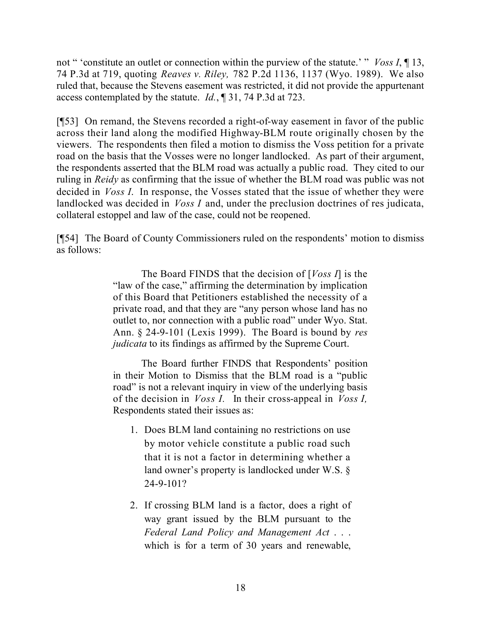not " 'constitute an outlet or connection within the purview of the statute.' " *Voss I*, ¶ 13, 74 P.3d at 719, quoting *Reaves v. Riley,* 782 P.2d 1136, 1137 (Wyo. 1989). We also ruled that, because the Stevens easement was restricted, it did not provide the appurtenant access contemplated by the statute. *Id.*, ¶ 31, 74 P.3d at 723.

[¶53] On remand, the Stevens recorded a right-of-way easement in favor of the public across their land along the modified Highway-BLM route originally chosen by the viewers. The respondents then filed a motion to dismiss the Voss petition for a private road on the basis that the Vosses were no longer landlocked. As part of their argument, the respondents asserted that the BLM road was actually a public road. They cited to our ruling in *Reidy* as confirming that the issue of whether the BLM road was public was not decided in *Voss I*. In response, the Vosses stated that the issue of whether they were landlocked was decided in *Voss I* and, under the preclusion doctrines of res judicata, collateral estoppel and law of the case, could not be reopened.

[¶54] The Board of County Commissioners ruled on the respondents' motion to dismiss as follows:

> The Board FINDS that the decision of [*Voss I*] is the "law of the case," affirming the determination by implication of this Board that Petitioners established the necessity of a private road, and that they are "any person whose land has no outlet to, nor connection with a public road" under Wyo. Stat. Ann. § 24-9-101 (Lexis 1999). The Board is bound by *res judicata* to its findings as affirmed by the Supreme Court.

> The Board further FINDS that Respondents' position in their Motion to Dismiss that the BLM road is a "public road" is not a relevant inquiry in view of the underlying basis of the decision in *Voss I.* In their cross-appeal in *Voss I,*  Respondents stated their issues as:

- 1. Does BLM land containing no restrictions on use by motor vehicle constitute a public road such that it is not a factor in determining whether a land owner's property is landlocked under W.S. § 24-9-101?
- 2. If crossing BLM land is a factor, does a right of way grant issued by the BLM pursuant to the *Federal Land Policy and Management Act* . . . which is for a term of 30 years and renewable,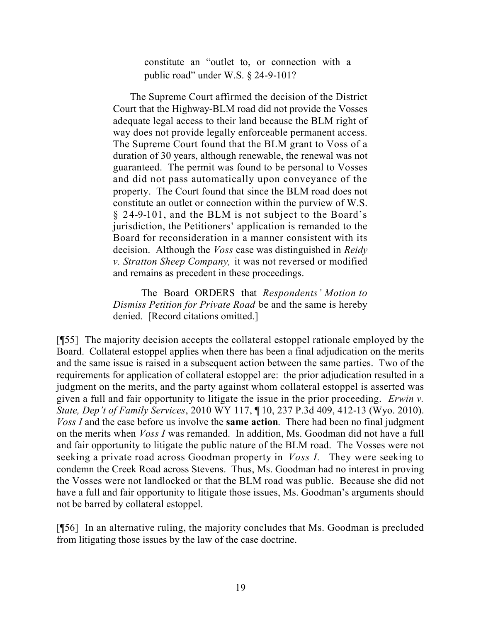constitute an "outlet to, or connection with a public road" under W.S. § 24-9-101?

The Supreme Court affirmed the decision of the District Court that the Highway-BLM road did not provide the Vosses adequate legal access to their land because the BLM right of way does not provide legally enforceable permanent access. The Supreme Court found that the BLM grant to Voss of a duration of 30 years, although renewable, the renewal was not guaranteed. The permit was found to be personal to Vosses and did not pass automatically upon conveyance of the property. The Court found that since the BLM road does not constitute an outlet or connection within the purview of W.S. § 24-9-101, and the BLM is not subject to the Board's jurisdiction, the Petitioners' application is remanded to the Board for reconsideration in a manner consistent with its decision. Although the *Voss* case was distinguished in *Reidy v. Stratton Sheep Company,* it was not reversed or modified and remains as precedent in these proceedings.

The Board ORDERS that *Respondents' Motion to Dismiss Petition for Private Road* be and the same is hereby denied. [Record citations omitted.]

[¶55] The majority decision accepts the collateral estoppel rationale employed by the Board. Collateral estoppel applies when there has been a final adjudication on the merits and the same issue is raised in a subsequent action between the same parties. Two of the requirements for application of collateral estoppel are: the prior adjudication resulted in a judgment on the merits, and the party against whom collateral estoppel is asserted was given a full and fair opportunity to litigate the issue in the prior proceeding. *Erwin v. State, Dep't of Family Services*, 2010 WY 117, ¶ 10, 237 P.3d 409, 412-13 (Wyo. 2010). *Voss I* and the case before us involve the **same action**. There had been no final judgment on the merits when *Voss I* was remanded. In addition, Ms. Goodman did not have a full and fair opportunity to litigate the public nature of the BLM road. The Vosses were not seeking a private road across Goodman property in *Voss I.* They were seeking to condemn the Creek Road across Stevens. Thus, Ms. Goodman had no interest in proving the Vosses were not landlocked or that the BLM road was public. Because she did not have a full and fair opportunity to litigate those issues, Ms. Goodman's arguments should not be barred by collateral estoppel.

[¶56] In an alternative ruling, the majority concludes that Ms. Goodman is precluded from litigating those issues by the law of the case doctrine.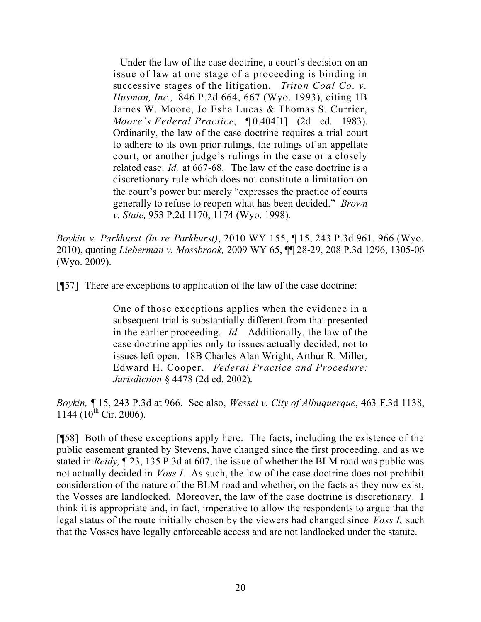Under the law of the case doctrine, a court's decision on an issue of law at one stage of a proceeding is binding in successive stages of the litigation. *Triton Coal Co. v. Husman, Inc.,* 846 P.2d 664, 667 (Wyo. 1993), citing 1B James W. Moore, Jo Esha Lucas & Thomas S. Currier, *Moore's Federal Practice*, ¶ 0.404[1] (2d ed. 1983). Ordinarily, the law of the case doctrine requires a trial court to adhere to its own prior rulings, the rulings of an appellate court, or another judge's rulings in the case or a closely related case. *Id.* at 667-68. The law of the case doctrine is a discretionary rule which does not constitute a limitation on the court's power but merely "expresses the practice of courts generally to refuse to reopen what has been decided." *Brown v. State,* 953 P.2d 1170, 1174 (Wyo. 1998).

*Boykin v. Parkhurst (In re Parkhurst)*, 2010 WY 155, ¶ 15, 243 P.3d 961, 966 (Wyo. 2010), quoting *Lieberman v. Mossbrook,* 2009 WY 65, ¶¶ 28-29, 208 P.3d 1296, 1305-06 (Wyo. 2009).

[¶57] There are exceptions to application of the law of the case doctrine:

One of those exceptions applies when the evidence in a subsequent trial is substantially different from that presented in the earlier proceeding. *Id.* Additionally, the law of the case doctrine applies only to issues actually decided, not to issues left open. 18B Charles Alan Wright, Arthur R. Miller, Edward H. Cooper, *Federal Practice and Procedure: Jurisdiction* § 4478 (2d ed. 2002).

*Boykin,* ¶ 15, 243 P.3d at 966. See also, *Wessel v. City of Albuquerque*, 463 F.3d 1138,  $1144$  ( $10^{th}$  Cir. 2006).

[¶58] Both of these exceptions apply here. The facts, including the existence of the public easement granted by Stevens, have changed since the first proceeding, and as we stated in *Reidy,* ¶ 23, 135 P.3d at 607, the issue of whether the BLM road was public was not actually decided in *Voss I*. As such, the law of the case doctrine does not prohibit consideration of the nature of the BLM road and whether, on the facts as they now exist, the Vosses are landlocked. Moreover, the law of the case doctrine is discretionary. I think it is appropriate and, in fact, imperative to allow the respondents to argue that the legal status of the route initially chosen by the viewers had changed since *Voss I*, such that the Vosses have legally enforceable access and are not landlocked under the statute.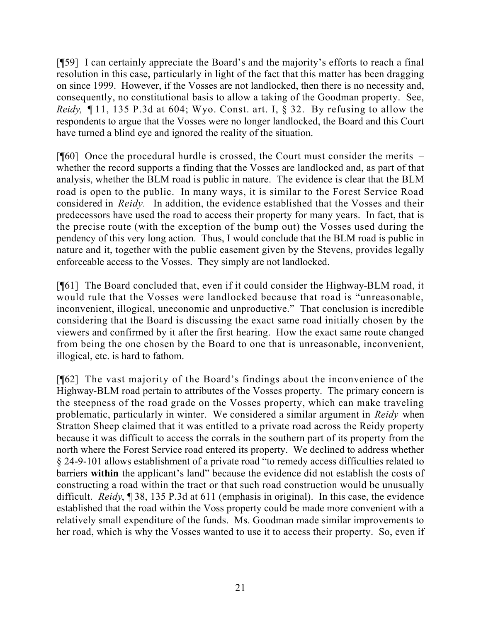[¶59] I can certainly appreciate the Board's and the majority's efforts to reach a final resolution in this case, particularly in light of the fact that this matter has been dragging on since 1999. However, if the Vosses are not landlocked, then there is no necessity and, consequently, no constitutional basis to allow a taking of the Goodman property. See, *Reidy,* ¶ 11, 135 P.3d at 604; Wyo. Const. art. I, § 32. By refusing to allow the respondents to argue that the Vosses were no longer landlocked, the Board and this Court have turned a blind eye and ignored the reality of the situation.

 $[\![\mathcal{F}(60)]\!]$  Once the procedural hurdle is crossed, the Court must consider the merits – whether the record supports a finding that the Vosses are landlocked and, as part of that analysis, whether the BLM road is public in nature. The evidence is clear that the BLM road is open to the public. In many ways, it is similar to the Forest Service Road considered in *Reidy.* In addition, the evidence established that the Vosses and their predecessors have used the road to access their property for many years. In fact, that is the precise route (with the exception of the bump out) the Vosses used during the pendency of this very long action. Thus, I would conclude that the BLM road is public in nature and it, together with the public easement given by the Stevens, provides legally enforceable access to the Vosses. They simply are not landlocked.

[¶61] The Board concluded that, even if it could consider the Highway-BLM road, it would rule that the Vosses were landlocked because that road is "unreasonable, inconvenient, illogical, uneconomic and unproductive." That conclusion is incredible considering that the Board is discussing the exact same road initially chosen by the viewers and confirmed by it after the first hearing. How the exact same route changed from being the one chosen by the Board to one that is unreasonable, inconvenient, illogical, etc. is hard to fathom.

[¶62] The vast majority of the Board's findings about the inconvenience of the Highway-BLM road pertain to attributes of the Vosses property. The primary concern is the steepness of the road grade on the Vosses property, which can make traveling problematic, particularly in winter. We considered a similar argument in *Reidy* when Stratton Sheep claimed that it was entitled to a private road across the Reidy property because it was difficult to access the corrals in the southern part of its property from the north where the Forest Service road entered its property. We declined to address whether § 24-9-101 allows establishment of a private road "to remedy access difficulties related to barriers **within** the applicant's land" because the evidence did not establish the costs of constructing a road within the tract or that such road construction would be unusually difficult. *Reidy*, ¶ 38, 135 P.3d at 611 (emphasis in original). In this case, the evidence established that the road within the Voss property could be made more convenient with a relatively small expenditure of the funds. Ms. Goodman made similar improvements to her road, which is why the Vosses wanted to use it to access their property. So, even if